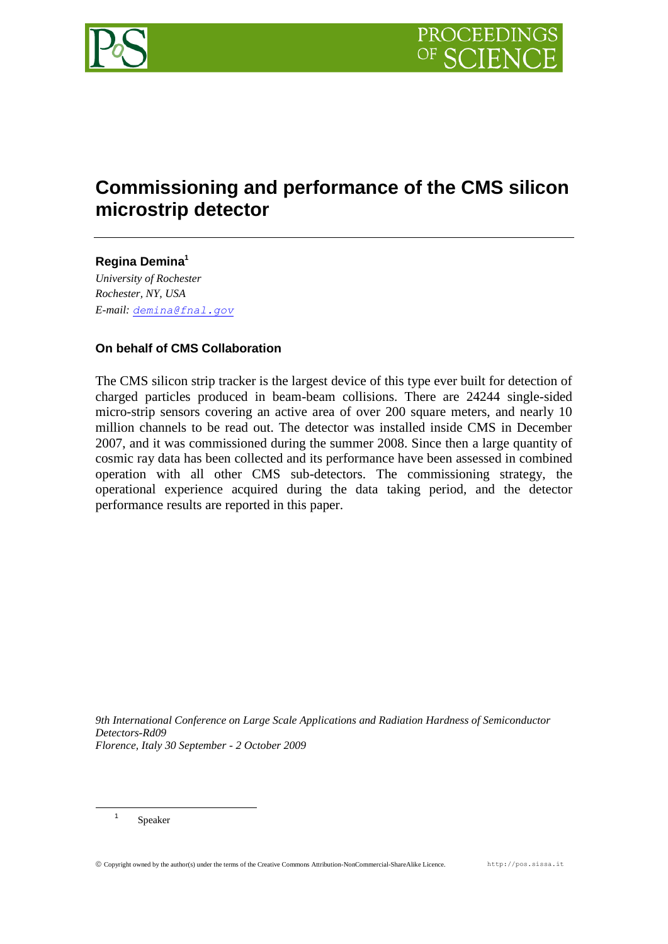

# **Commissioning and performance of the CMS silicon microstrip detector**

**Regina Demina<sup>1</sup>** *University of Rochester Rochester, NY, USA E-mail: [demina@fnal.gov](mailto:demina@fnal.gov)*

# **On behalf of CMS Collaboration**

The CMS silicon strip tracker is the largest device of this type ever built for detection of charged particles produced in beam-beam collisions. There are 24244 single-sided micro-strip sensors covering an active area of over 200 square meters, and nearly 10 million channels to be read out. The detector was installed inside CMS in December 2007, and it was commissioned during the summer 2008. Since then a large quantity of cosmic ray data has been collected and its performance have been assessed in combined operation with all other CMS sub-detectors. The commissioning strategy, the operational experience acquired during the data taking period, and the detector performance results are reported in this paper.

*9th International Conference on Large Scale Applications and Radiation Hardness of Semiconductor Detectors-Rd09 Florence, Italy 30 September - 2 October 2009*

1 Speaker

1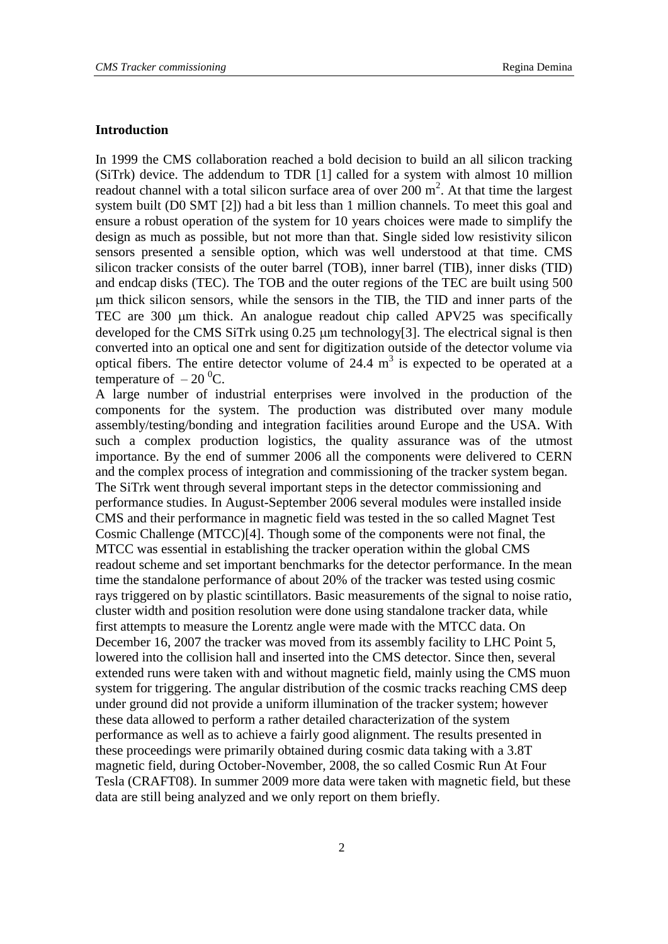### **Introduction**

In 1999 the CMS collaboration reached a bold decision to build an all silicon tracking (SiTrk) device. The addendum to TDR [1] called for a system with almost 10 million readout channel with a total silicon surface area of over  $200 \text{ m}^2$ . At that time the largest system built (D0 SMT [2]) had a bit less than 1 million channels. To meet this goal and ensure a robust operation of the system for 10 years choices were made to simplify the design as much as possible, but not more than that. Single sided low resistivity silicon sensors presented a sensible option, which was well understood at that time. CMS silicon tracker consists of the outer barrel (TOB), inner barrel (TIB), inner disks (TID) and endcap disks (TEC). The TOB and the outer regions of the TEC are built using 500 m thick silicon sensors, while the sensors in the TIB, the TID and inner parts of the TEC are 300 µm thick. An analogue readout chip called APV25 was specifically developed for the CMS SiTrk using  $0.25 \mu m$  technology[3]. The electrical signal is then converted into an optical one and sent for digitization outside of the detector volume via optical fibers. The entire detector volume of  $24.4 \text{ m}^3$  is expected to be operated at a temperature of  $-20^{\circ}$ C.

A large number of industrial enterprises were involved in the production of the components for the system. The production was distributed over many module assembly/testing/bonding and integration facilities around Europe and the USA. With such a complex production logistics, the quality assurance was of the utmost importance. By the end of summer 2006 all the components were delivered to CERN and the complex process of integration and commissioning of the tracker system began. The SiTrk went through several important steps in the detector commissioning and performance studies. In August-September 2006 several modules were installed inside CMS and their performance in magnetic field was tested in the so called Magnet Test Cosmic Challenge (MTCC)[4]. Though some of the components were not final, the MTCC was essential in establishing the tracker operation within the global CMS readout scheme and set important benchmarks for the detector performance. In the mean time the standalone performance of about 20% of the tracker was tested using cosmic rays triggered on by plastic scintillators. Basic measurements of the signal to noise ratio, cluster width and position resolution were done using standalone tracker data, while first attempts to measure the Lorentz angle were made with the MTCC data. On December 16, 2007 the tracker was moved from its assembly facility to LHC Point 5, lowered into the collision hall and inserted into the CMS detector. Since then, several extended runs were taken with and without magnetic field, mainly using the CMS muon system for triggering. The angular distribution of the cosmic tracks reaching CMS deep under ground did not provide a uniform illumination of the tracker system; however these data allowed to perform a rather detailed characterization of the system performance as well as to achieve a fairly good alignment. The results presented in these proceedings were primarily obtained during cosmic data taking with a 3.8T magnetic field, during October-November, 2008, the so called Cosmic Run At Four Tesla (CRAFT08). In summer 2009 more data were taken with magnetic field, but these data are still being analyzed and we only report on them briefly.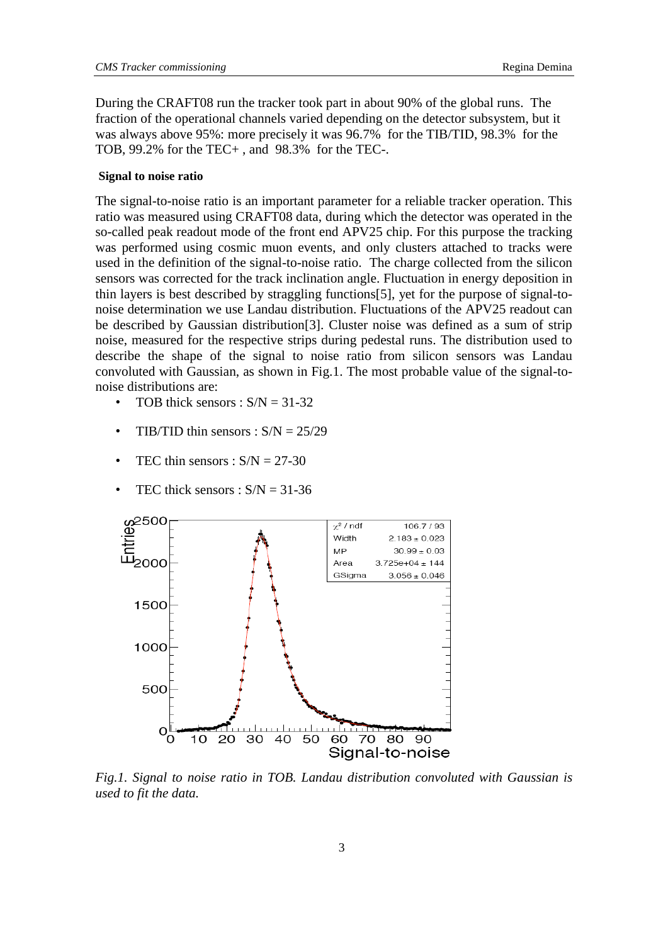During the CRAFT08 run the tracker took part in about 90% of the global runs. The fraction of the operational channels varied depending on the detector subsystem, but it was always above 95%: more precisely it was 96.7% for the TIB/TID, 98.3% for the TOB, 99.2% for the TEC+ , and 98.3% for the TEC-.

#### **Signal to noise ratio**

The signal-to-noise ratio is an important parameter for a reliable tracker operation. This ratio was measured using CRAFT08 data, during which the detector was operated in the so-called peak readout mode of the front end APV25 chip. For this purpose the tracking was performed using cosmic muon events, and only clusters attached to tracks were used in the definition of the signal-to-noise ratio. The charge collected from the silicon sensors was corrected for the track inclination angle. Fluctuation in energy deposition in thin layers is best described by straggling functions[5], yet for the purpose of signal-tonoise determination we use Landau distribution. Fluctuations of the APV25 readout can be described by Gaussian distribution[3]. Cluster noise was defined as a sum of strip noise, measured for the respective strips during pedestal runs. The distribution used to describe the shape of the signal to noise ratio from silicon sensors was Landau convoluted with Gaussian, as shown in Fig.1. The most probable value of the signal-tonoise distributions are:

- TOB thick sensors :  $S/N = 31-32$
- TIB/TID thin sensors :  $S/N = 25/29$
- TEC thin sensors :  $S/N = 27-30$
- TEC thick sensors :  $S/N = 31-36$



*Fig.1. Signal to noise ratio in TOB. Landau distribution convoluted with Gaussian is used to fit the data.*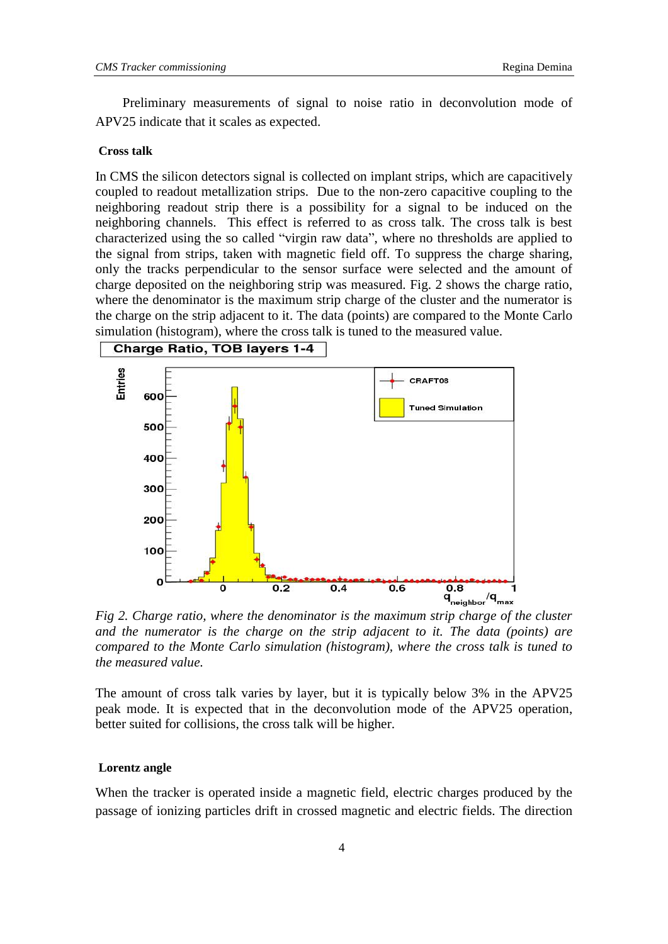Preliminary measurements of signal to noise ratio in deconvolution mode of APV25 indicate that it scales as expected.

#### **Cross talk**

In CMS the silicon detectors signal is collected on implant strips, which are capacitively coupled to readout metallization strips. Due to the non-zero capacitive coupling to the neighboring readout strip there is a possibility for a signal to be induced on the neighboring channels. This effect is referred to as cross talk. The cross talk is best characterized using the so called "virgin raw data", where no thresholds are applied to the signal from strips, taken with magnetic field off. To suppress the charge sharing, only the tracks perpendicular to the sensor surface were selected and the amount of charge deposited on the neighboring strip was measured. Fig. 2 shows the charge ratio, where the denominator is the maximum strip charge of the cluster and the numerator is the charge on the strip adjacent to it. The data (points) are compared to the Monte Carlo simulation (histogram), where the cross talk is tuned to the measured value.



*Fig 2. Charge ratio, where the denominator is the maximum strip charge of the cluster and the numerator is the charge on the strip adjacent to it. The data (points) are compared to the Monte Carlo simulation (histogram), where the cross talk is tuned to the measured value.*

The amount of cross talk varies by layer, but it is typically below 3% in the APV25 peak mode. It is expected that in the deconvolution mode of the APV25 operation, better suited for collisions, the cross talk will be higher.

#### **Lorentz angle**

When the tracker is operated inside a magnetic field, electric charges produced by the passage of ionizing particles drift in crossed magnetic and electric fields. The direction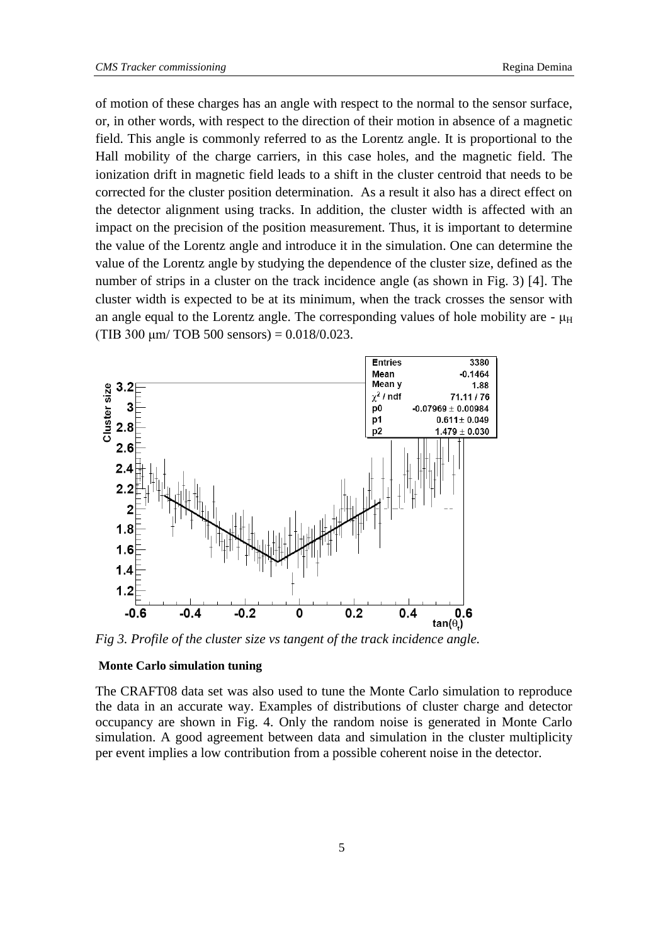of motion of these charges has an angle with respect to the normal to the sensor surface, or, in other words, with respect to the direction of their motion in absence of a magnetic field. This angle is commonly referred to as the Lorentz angle. It is proportional to the Hall mobility of the charge carriers, in this case holes, and the magnetic field. The ionization drift in magnetic field leads to a shift in the cluster centroid that needs to be corrected for the cluster position determination. As a result it also has a direct effect on the detector alignment using tracks. In addition, the cluster width is affected with an impact on the precision of the position measurement. Thus, it is important to determine the value of the Lorentz angle and introduce it in the simulation. One can determine the value of the Lorentz angle by studying the dependence of the cluster size, defined as the number of strips in a cluster on the track incidence angle (as shown in Fig. 3) [4]. The cluster width is expected to be at its minimum, when the track crosses the sensor with an angle equal to the Lorentz angle. The corresponding values of hole mobility are -  $\mu$ <sub>H</sub> (TIB 300  $\mu$ m/ TOB 500 sensors) = 0.018/0.023.



*Fig 3. Profile of the cluster size vs tangent of the track incidence angle.*

#### **Monte Carlo simulation tuning**

The CRAFT08 data set was also used to tune the Monte Carlo simulation to reproduce the data in an accurate way. Examples of distributions of cluster charge and detector occupancy are shown in Fig. 4. Only the random noise is generated in Monte Carlo simulation. A good agreement between data and simulation in the cluster multiplicity per event implies a low contribution from a possible coherent noise in the detector.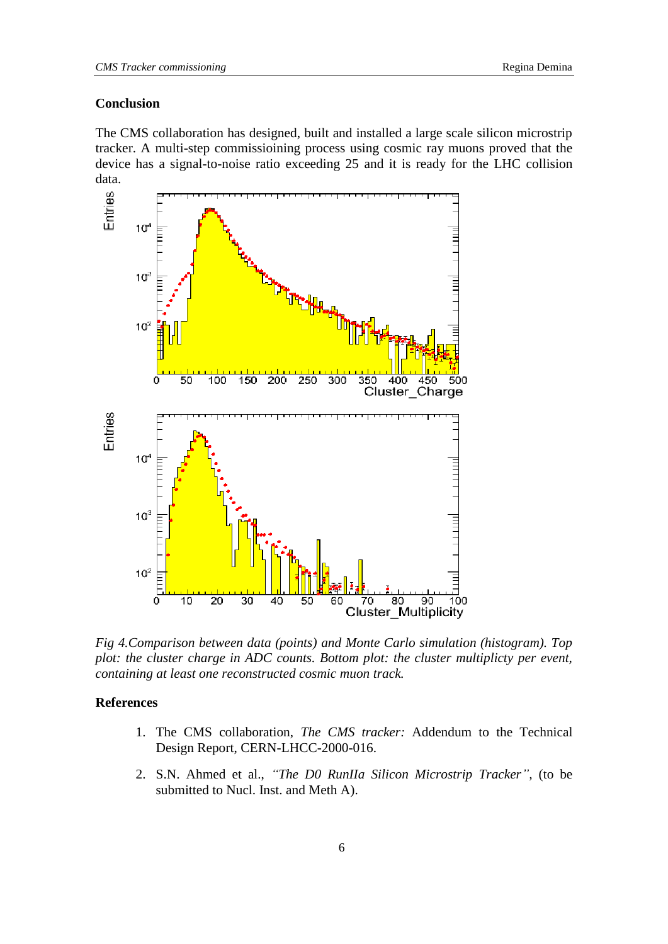# **Conclusion**

The CMS collaboration has designed, built and installed a large scale silicon microstrip tracker. A multi-step commissioining process using cosmic ray muons proved that the device has a signal-to-noise ratio exceeding 25 and it is ready for the LHC collision



*Fig 4.Comparison between data (points) and Monte Carlo simulation (histogram). Top plot: the cluster charge in ADC counts. Bottom plot: the cluster multiplicty per event, containing at least one reconstructed cosmic muon track.* 

# **References**

- 1. The CMS collaboration, *The CMS tracker:* Addendum to the Technical Design Report, CERN-LHCC-2000-016.
- 2. S.N. Ahmed et al., *"The D0 RunIIa Silicon Microstrip Tracker",* (to be submitted to Nucl. Inst. and Meth A).